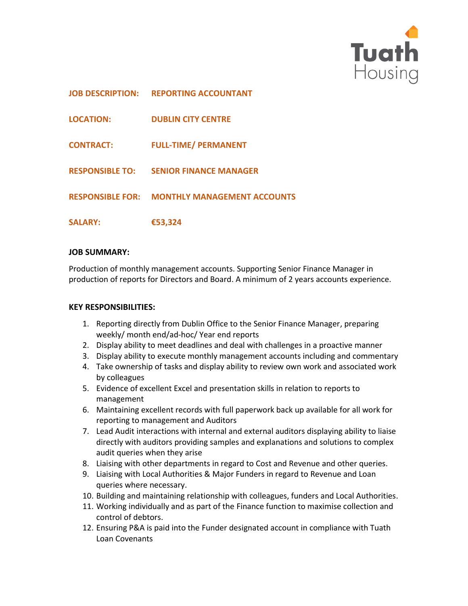

|                  | <b>JOB DESCRIPTION: REPORTING ACCOUNTANT</b>        |
|------------------|-----------------------------------------------------|
| <b>LOCATION:</b> | <b>DUBLIN CITY CENTRE</b>                           |
| <b>CONTRACT:</b> | <b>FULL-TIME/ PERMANENT</b>                         |
|                  | <b>RESPONSIBLE TO: SENIOR FINANCE MANAGER</b>       |
|                  | <b>RESPONSIBLE FOR: MONTHLY MANAGEMENT ACCOUNTS</b> |
| <b>SALARY:</b>   | €53,324                                             |

# **JOB SUMMARY:**

Production of monthly management accounts. Supporting Senior Finance Manager in production of reports for Directors and Board. A minimum of 2 years accounts experience.

# **KEY RESPONSIBILITIES:**

- 1. Reporting directly from Dublin Office to the Senior Finance Manager, preparing weekly/ month end/ad-hoc/ Year end reports
- 2. Display ability to meet deadlines and deal with challenges in a proactive manner
- 3. Display ability to execute monthly management accounts including and commentary
- 4. Take ownership of tasks and display ability to review own work and associated work by colleagues
- 5. Evidence of excellent Excel and presentation skills in relation to reports to management
- 6. Maintaining excellent records with full paperwork back up available for all work for reporting to management and Auditors
- 7. Lead Audit interactions with internal and external auditors displaying ability to liaise directly with auditors providing samples and explanations and solutions to complex audit queries when they arise
- 8. Liaising with other departments in regard to Cost and Revenue and other queries.
- 9. Liaising with Local Authorities & Major Funders in regard to Revenue and Loan queries where necessary.
- 10. Building and maintaining relationship with colleagues, funders and Local Authorities.
- 11. Working individually and as part of the Finance function to maximise collection and control of debtors.
- 12. Ensuring P&A is paid into the Funder designated account in compliance with Tuath Loan Covenants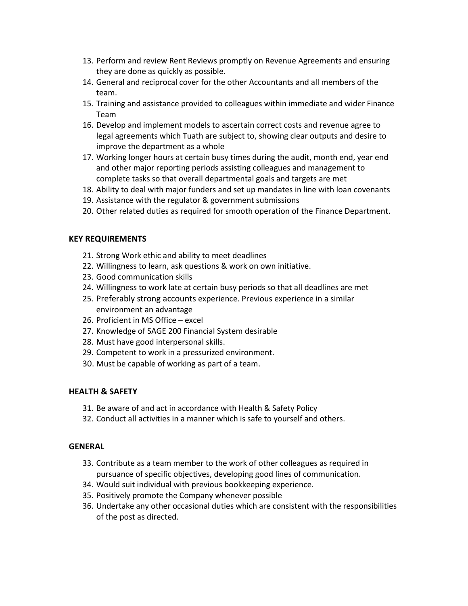- 13. Perform and review Rent Reviews promptly on Revenue Agreements and ensuring they are done as quickly as possible.
- 14. General and reciprocal cover for the other Accountants and all members of the team.
- 15. Training and assistance provided to colleagues within immediate and wider Finance Team
- 16. Develop and implement models to ascertain correct costs and revenue agree to legal agreements which Tuath are subject to, showing clear outputs and desire to improve the department as a whole
- 17. Working longer hours at certain busy times during the audit, month end, year end and other major reporting periods assisting colleagues and management to complete tasks so that overall departmental goals and targets are met
- 18. Ability to deal with major funders and set up mandates in line with loan covenants
- 19. Assistance with the regulator & government submissions
- 20. Other related duties as required for smooth operation of the Finance Department.

### **KEY REQUIREMENTS**

- 21. Strong Work ethic and ability to meet deadlines
- 22. Willingness to learn, ask questions & work on own initiative.
- 23. Good communication skills
- 24. Willingness to work late at certain busy periods so that all deadlines are met
- 25. Preferably strong accounts experience. Previous experience in a similar environment an advantage
- 26. Proficient in MS Office excel
- 27. Knowledge of SAGE 200 Financial System desirable
- 28. Must have good interpersonal skills.
- 29. Competent to work in a pressurized environment.
- 30. Must be capable of working as part of a team.

## **HEALTH & SAFETY**

- 31. Be aware of and act in accordance with Health & Safety Policy
- 32. Conduct all activities in a manner which is safe to yourself and others.

### **GENERAL**

- 33. Contribute as a team member to the work of other colleagues as required in pursuance of specific objectives, developing good lines of communication.
- 34. Would suit individual with previous bookkeeping experience.
- 35. Positively promote the Company whenever possible
- 36. Undertake any other occasional duties which are consistent with the responsibilities of the post as directed.